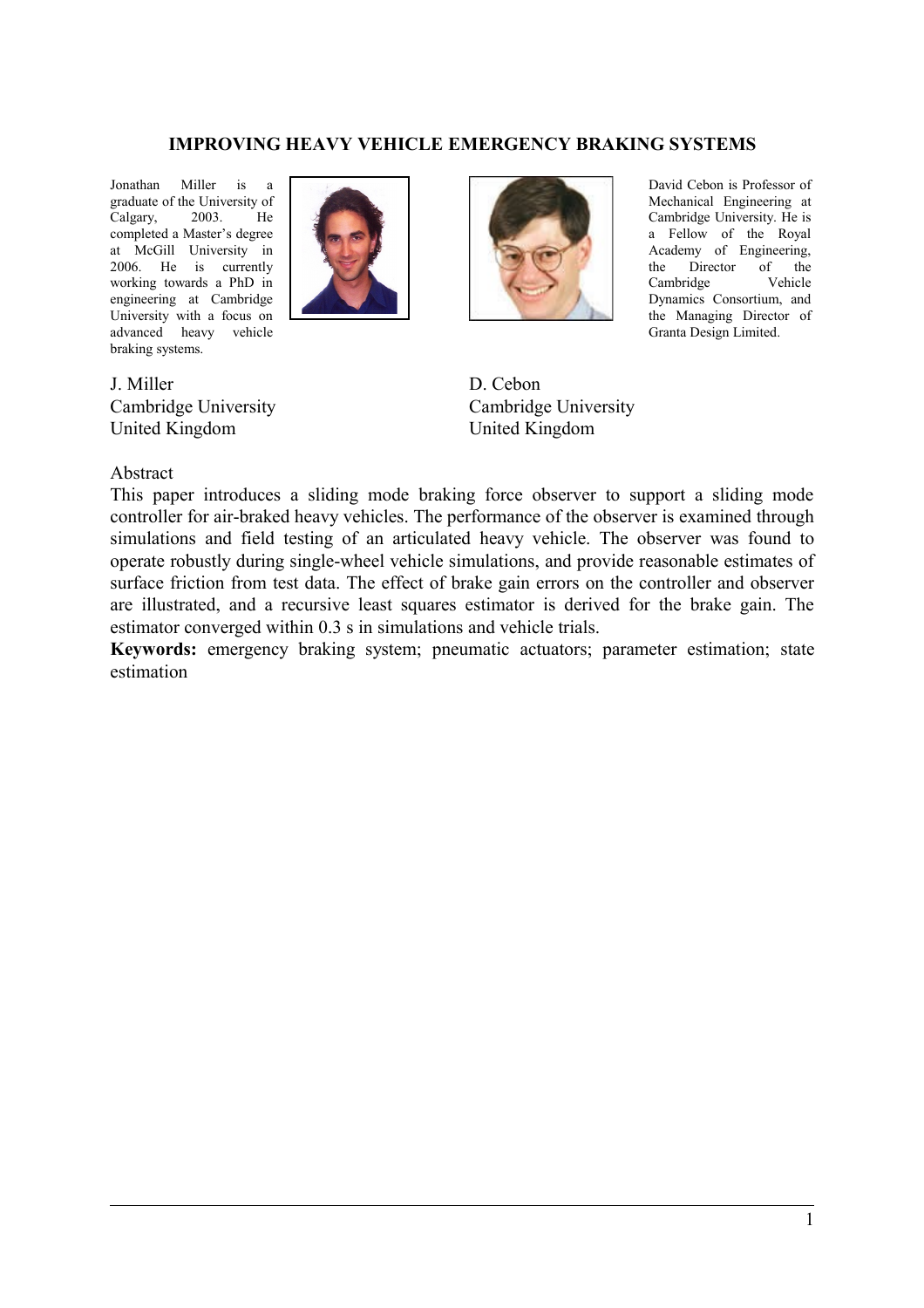### **IMPROVING HEAVY VEHICLE EMERGENCY BRAKING SYSTEMS**

Jonathan Miller is a graduate of the University of Calgary, 2003. He completed a Master's degree at McGill University in 2006. He is currently working towards a PhD in engineering at Cambridge University with a focus on advanced heavy vehicle braking systems.



J. Miller Cambridge University United Kingdom

Abstract



David Cebon is Professor of Mechanical Engineering at Cambridge University. He is a Fellow of the Royal Academy of Engineering, the Director of the Cambridge Vehicle Dynamics Consortium, and the Managing Director of Granta Design Limited.

D. Cebon Cambridge University United Kingdom

This paper introduces a sliding mode braking force observer to support a sliding mode controller for air-braked heavy vehicles. The performance of the observer is examined through simulations and field testing of an articulated heavy vehicle. The observer was found to operate robustly during single-wheel vehicle simulations, and provide reasonable estimates of surface friction from test data. The effect of brake gain errors on the controller and observer are illustrated, and a recursive least squares estimator is derived for the brake gain. The estimator converged within 0.3 s in simulations and vehicle trials.

**Keywords:** emergency braking system; pneumatic actuators; parameter estimation; state estimation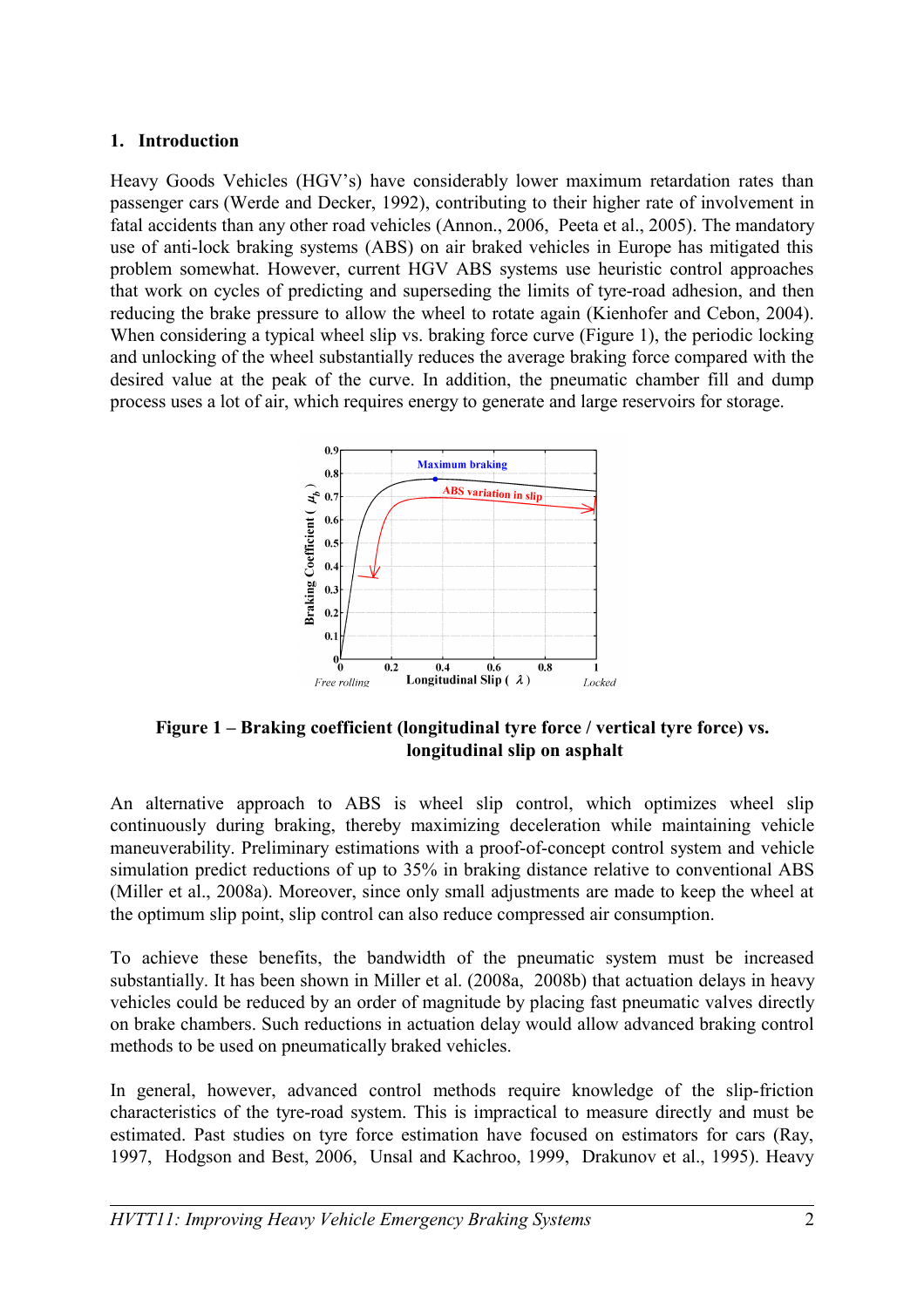## **1. Introduction**

Heavy Goods Vehicles (HGV's) have considerably lower maximum retardation rates than passenger cars (Werde and Decker, 1992), contributing to their higher rate of involvement in fatal accidents than any other road vehicles (Annon., 2006, Peeta et al., 2005). The mandatory use of anti-lock braking systems (ABS) on air braked vehicles in Europe has mitigated this problem somewhat. However, current HGV ABS systems use heuristic control approaches that work on cycles of predicting and superseding the limits of tyre-road adhesion, and then reducing the brake pressure to allow the wheel to rotate again (Kienhofer and Cebon, 2004). When considering a typical wheel slip vs. braking force curve (Figure 1), the periodic locking and unlocking of the wheel substantially reduces the average braking force compared with the desired value at the peak of the curve. In addition, the pneumatic chamber fill and dump process uses a lot of air, which requires energy to generate and large reservoirs for storage.



**Figure 1 – Braking coefficient (longitudinal tyre force / vertical tyre force) vs. longitudinal slip on asphalt** 

An alternative approach to ABS is wheel slip control, which optimizes wheel slip continuously during braking, thereby maximizing deceleration while maintaining vehicle maneuverability. Preliminary estimations with a proof-of-concept control system and vehicle simulation predict reductions of up to 35% in braking distance relative to conventional ABS (Miller et al., 2008a). Moreover, since only small adjustments are made to keep the wheel at the optimum slip point, slip control can also reduce compressed air consumption.

To achieve these benefits, the bandwidth of the pneumatic system must be increased substantially. It has been shown in Miller et al. (2008a, 2008b) that actuation delays in heavy vehicles could be reduced by an order of magnitude by placing fast pneumatic valves directly on brake chambers. Such reductions in actuation delay would allow advanced braking control methods to be used on pneumatically braked vehicles.

In general, however, advanced control methods require knowledge of the slip-friction characteristics of the tyre-road system. This is impractical to measure directly and must be estimated. Past studies on tyre force estimation have focused on estimators for cars (Ray, 1997, Hodgson and Best, 2006, Unsal and Kachroo, 1999, Drakunov et al., 1995). Heavy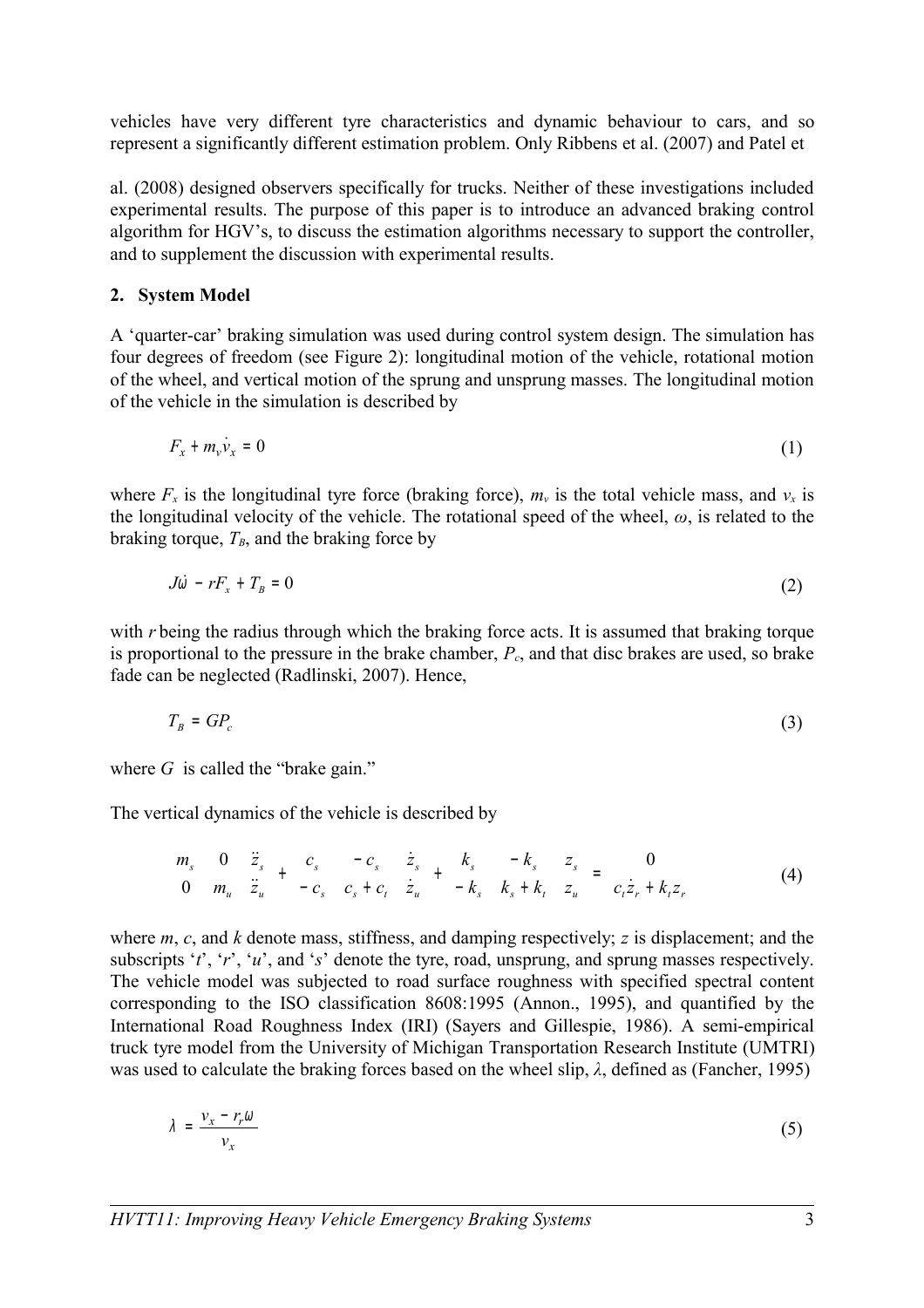vehicles have very different tyre characteristics and dynamic behaviour to cars, and so represent a significantly different estimation problem. Only Ribbens et al. (2007) and Patel et

al. (2008) designed observers specifically for trucks. Neither of these investigations included experimental results. The purpose of this paper is to introduce an advanced braking control algorithm for HGV's, to discuss the estimation algorithms necessary to support the controller, and to supplement the discussion with experimental results.

## **2. System Model**

A 'quarter-car' braking simulation was used during control system design. The simulation has four degrees of freedom (see Figure 2): longitudinal motion of the vehicle, rotational motion of the wheel, and vertical motion of the sprung and unsprung masses. The longitudinal motion of the vehicle in the simulation is described by

$$
F_x + m_v \dot{v}_x = 0 \tag{1}
$$

where  $F_x$  is the longitudinal tyre force (braking force),  $m_y$  is the total vehicle mass, and  $v_x$  is the longitudinal velocity of the vehicle. The rotational speed of the wheel, *ω*, is related to the braking torque,  $T_B$ , and the braking force by

$$
J\dot{\omega} - rF_x + T_B = 0 \tag{2}
$$

with *r* being the radius through which the braking force acts. It is assumed that braking torque is proportional to the pressure in the brake chamber, *Pc*, and that disc brakes are used, so brake fade can be neglected (Radlinski, 2007). Hence,

$$
T_B = GP_c \tag{3}
$$

where *G* is called the "brake gain."

The vertical dynamics of the vehicle is described by

$$
\begin{bmatrix} m_s & 0 \\ 0 & m_u \end{bmatrix} \begin{bmatrix} \ddot{z}_s \\ \ddot{z}_u \end{bmatrix} + \begin{bmatrix} c_s & -c_s \\ -c_s & c_s + c_t \end{bmatrix} \begin{bmatrix} \dot{z}_s \\ \dot{z}_u \end{bmatrix} + \begin{bmatrix} k_s & -k_s \\ -k_s & k_s + k_t \end{bmatrix} \begin{bmatrix} z_s \\ z_u \end{bmatrix} = \begin{bmatrix} 0 \\ c_t \dot{z}_r + k_t z_r \end{bmatrix}
$$
 (4)

where *m*, *c*, and *k* denote mass, stiffness, and damping respectively; *z* is displacement; and the subscripts '*t*', '*r*', '*u*', and '*s*' denote the tyre, road, unsprung, and sprung masses respectively. The vehicle model was subjected to road surface roughness with specified spectral content corresponding to the ISO classification 8608:1995 (Annon., 1995), and quantified by the International Road Roughness Index (IRI) (Sayers and Gillespie, 1986). A semi-empirical truck tyre model from the University of Michigan Transportation Research Institute (UMTRI) was used to calculate the braking forces based on the wheel slip, *λ*, defined as (Fancher, 1995)

$$
\lambda = \frac{v_x - r_r \omega}{v_x} \tag{5}
$$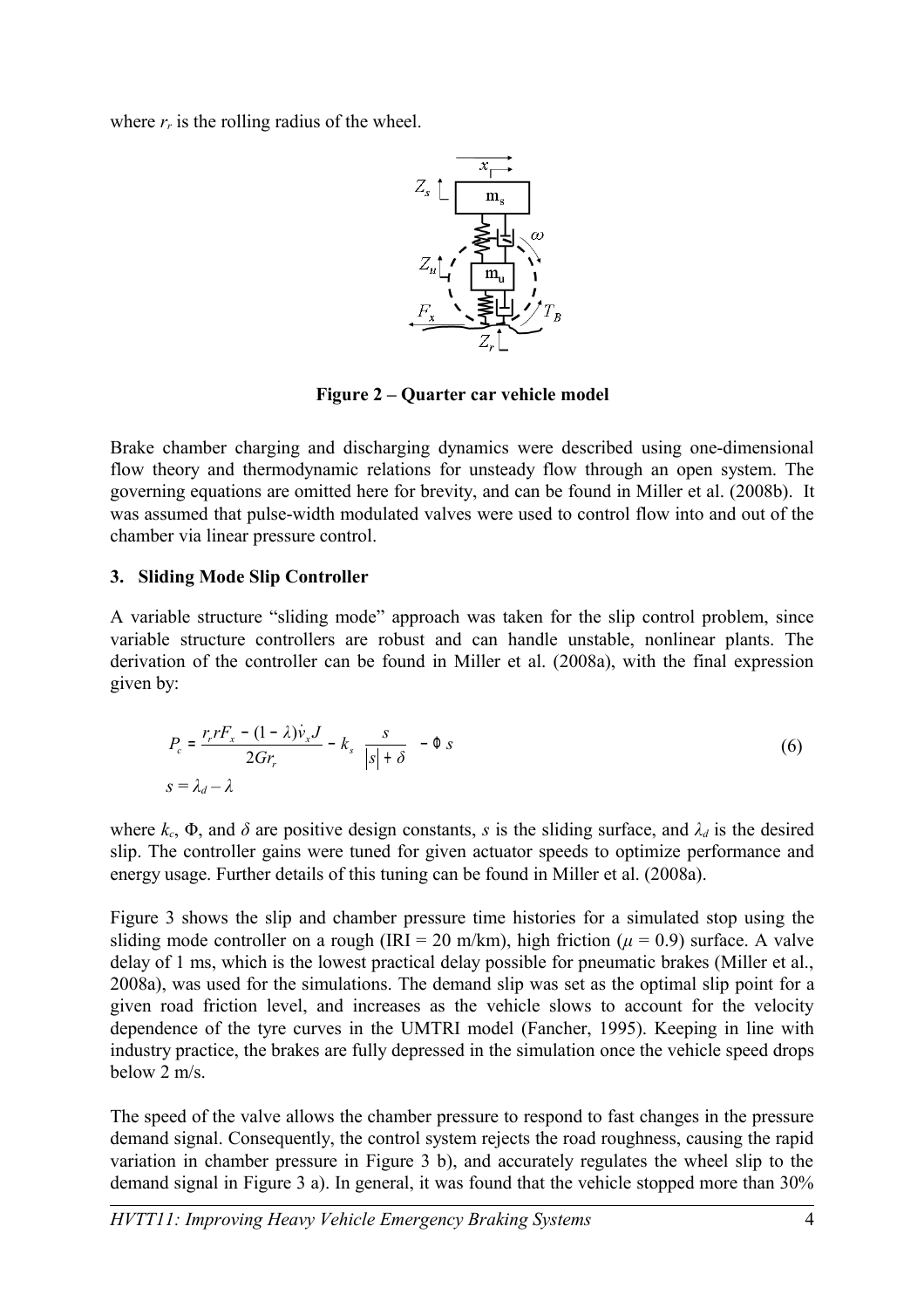where  $r_r$  is the rolling radius of the wheel.



**Figure 2 – Quarter car vehicle model**

Brake chamber charging and discharging dynamics were described using one-dimensional flow theory and thermodynamic relations for unsteady flow through an open system. The governing equations are omitted here for brevity, and can be found in Miller et al. (2008b). It was assumed that pulse-width modulated valves were used to control flow into and out of the chamber via linear pressure control.

# **3. Sliding Mode Slip Controller**

A variable structure "sliding mode" approach was taken for the slip control problem, since variable structure controllers are robust and can handle unstable, nonlinear plants. The derivation of the controller can be found in Miller et al. (2008a), with the final expression given by:

$$
P_c = \frac{r_r r F_x - (1 - \lambda)\dot{v}_x J}{2Gr_r} - k_s \left\{ \frac{s}{|s| + \delta} \right\} - \Phi s
$$
  

$$
s = \lambda_d - \lambda
$$
 (6)

where  $k_c$ ,  $\Phi$ , and  $\delta$  are positive design constants, *s* is the sliding surface, and  $\lambda_d$  is the desired slip. The controller gains were tuned for given actuator speeds to optimize performance and energy usage. Further details of this tuning can be found in Miller et al. (2008a).

Figure 3 shows the slip and chamber pressure time histories for a simulated stop using the sliding mode controller on a rough (IRI = 20 m/km), high friction ( $\mu$  = 0.9) surface. A valve delay of 1 ms, which is the lowest practical delay possible for pneumatic brakes (Miller et al., 2008a), was used for the simulations. The demand slip was set as the optimal slip point for a given road friction level, and increases as the vehicle slows to account for the velocity dependence of the tyre curves in the UMTRI model (Fancher, 1995). Keeping in line with industry practice, the brakes are fully depressed in the simulation once the vehicle speed drops below 2 m/s.

The speed of the valve allows the chamber pressure to respond to fast changes in the pressure demand signal. Consequently, the control system rejects the road roughness, causing the rapid variation in chamber pressure in Figure 3 b), and accurately regulates the wheel slip to the demand signal in Figure 3 a). In general, it was found that the vehicle stopped more than 30%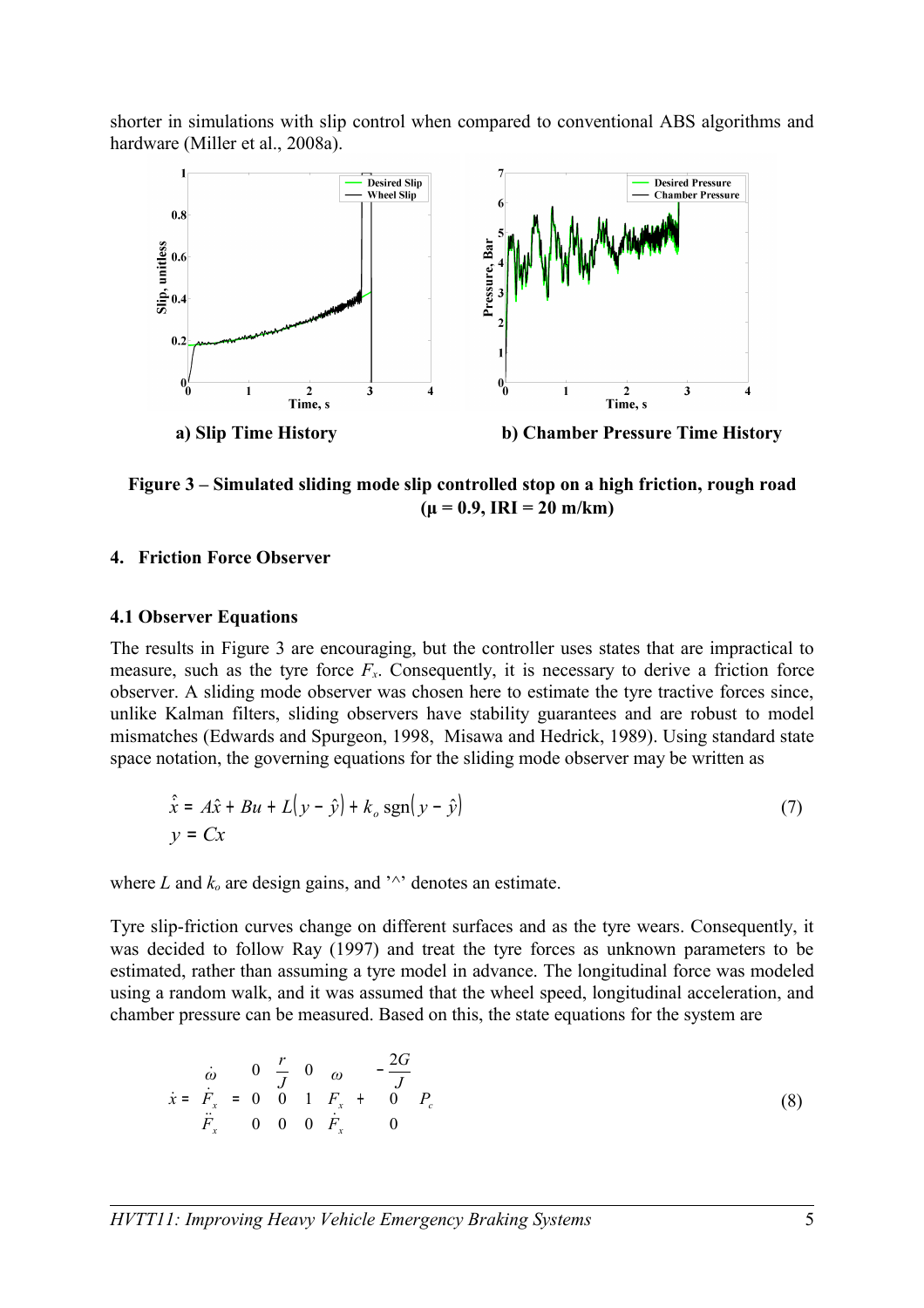shorter in simulations with slip control when compared to conventional ABS algorithms and hardware (Miller et al., 2008a).



**Figure 3 – Simulated sliding mode slip controlled stop on a high friction, rough road**  $(\mu = 0.9, \text{IRI} = 20 \text{ m/km})$ 

### **4. Friction Force Observer**

### **4.1 Observer Equations**

The results in Figure 3 are encouraging, but the controller uses states that are impractical to measure, such as the tyre force  $F<sub>x</sub>$ . Consequently, it is necessary to derive a friction force observer. A sliding mode observer was chosen here to estimate the tyre tractive forces since, unlike Kalman filters, sliding observers have stability guarantees and are robust to model mismatches (Edwards and Spurgeon, 1998, Misawa and Hedrick, 1989). Using standard state space notation, the governing equations for the sliding mode observer may be written as

$$
\hat{\dot{x}} = A\hat{x} + Bu + L(y - \hat{y}) + k_o \operatorname{sgn}(y - \hat{y})
$$
\n
$$
y = Cx \tag{7}
$$

where  $L$  and  $k<sub>o</sub>$  are design gains, and  $\sqrt{ }$  denotes an estimate.

Tyre slip-friction curves change on different surfaces and as the tyre wears. Consequently, it was decided to follow Ray (1997) and treat the tyre forces as unknown parameters to be estimated, rather than assuming a tyre model in advance. The longitudinal force was modeled using a random walk, and it was assumed that the wheel speed, longitudinal acceleration, and chamber pressure can be measured. Based on this, the state equations for the system are

$$
\dot{x} = \begin{bmatrix} \dot{\omega} \\ \dot{F}_x \\ \ddot{F}_x \end{bmatrix} = \begin{bmatrix} 0 & \frac{r}{J} & 0 \\ 0 & 0 & 1 \\ 0 & 0 & 0 \end{bmatrix} \begin{bmatrix} \omega \\ F_x \\ \ddot{F}_x \end{bmatrix} + \begin{bmatrix} -\frac{2G}{J} \\ 0 \\ 0 \end{bmatrix} P_c
$$
\n(8)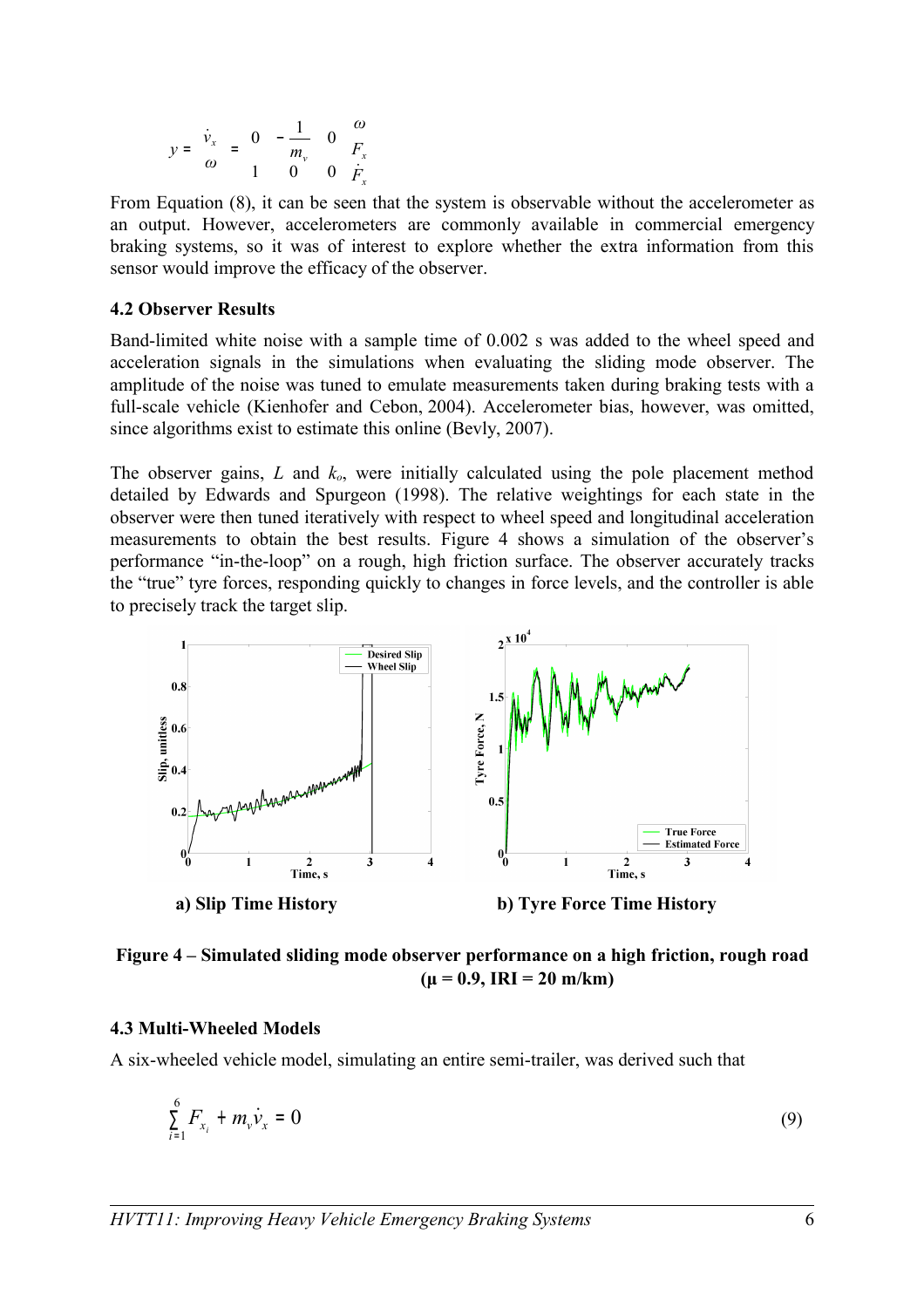$$
y = \begin{bmatrix} \dot{v}_x \\ \omega \end{bmatrix} = \begin{bmatrix} 0 & -\frac{1}{m_v} & 0 \\ 1 & 0 & 0 \end{bmatrix} \begin{bmatrix} \omega \\ F_x \\ F_x \\ F_x \end{bmatrix}
$$

From Equation (8), it can be seen that the system is observable without the accelerometer as an output. However, accelerometers are commonly available in commercial emergency braking systems, so it was of interest to explore whether the extra information from this sensor would improve the efficacy of the observer.

#### **4.2 Observer Results**

Band-limited white noise with a sample time of 0.002 s was added to the wheel speed and acceleration signals in the simulations when evaluating the sliding mode observer. The amplitude of the noise was tuned to emulate measurements taken during braking tests with a full-scale vehicle (Kienhofer and Cebon, 2004). Accelerometer bias, however, was omitted, since algorithms exist to estimate this online (Bevly, 2007).

The observer gains, *L* and *ko*, were initially calculated using the pole placement method detailed by Edwards and Spurgeon (1998). The relative weightings for each state in the observer were then tuned iteratively with respect to wheel speed and longitudinal acceleration measurements to obtain the best results. Figure 4 shows a simulation of the observer's performance "in-the-loop" on a rough, high friction surface. The observer accurately tracks the "true" tyre forces, responding quickly to changes in force levels, and the controller is able to precisely track the target slip.



**Figure 4 – Simulated sliding mode observer performance on a high friction, rough road**  $(\mu = 0.9, \text{IRI} = 20 \text{ m/km})$ 

#### **4.3 Multi-Wheeled Models**

A six-wheeled vehicle model, simulating an entire semi-trailer, was derived such that

$$
\sum_{i=1}^{6} F_{x_i} + m_v \dot{v}_x = 0 \tag{9}
$$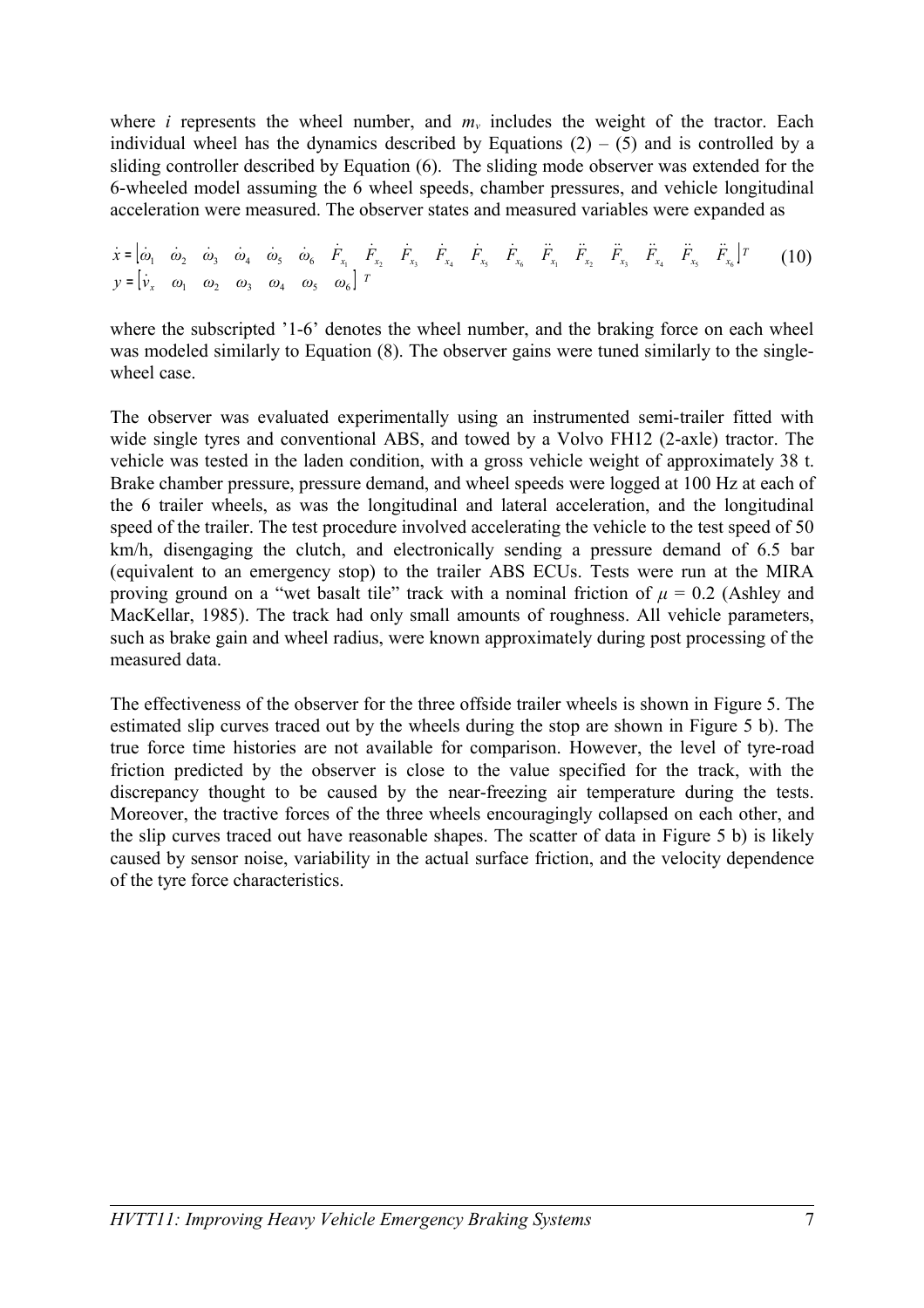where *i* represents the wheel number, and  $m<sub>v</sub>$  includes the weight of the tractor. Each individual wheel has the dynamics described by Equations  $(2) - (5)$  and is controlled by a sliding controller described by Equation (6). The sliding mode observer was extended for the 6-wheeled model assuming the 6 wheel speeds, chamber pressures, and vehicle longitudinal acceleration were measured. The observer states and measured variables were expanded as

 $\dot{x} = \begin{bmatrix} \dot{\omega}_1 & \dot{\omega}_2 & \dot{\omega}_3 & \dot{\omega}_4 & \dot{\omega}_5 & \dot{\omega}_6 & \dot{F}_{x_1} & \dot{F}_{x_2} & \dot{F}_{x_3} & \dot{F}_{x_4} & \dot{F}_{x_5} & \dot{F}_{x_6} & \ddot{F}_{x_1} & \ddot{F}_{x_2} & \ddot{F}_{x_3} & \ddot{F}_{x_4} & \ddot{F}_{x_5} & \ddot{F}_{x_6} \end{bmatrix}^T$ (10)  $y = \begin{bmatrix} \dot{v}_x & \omega_1 & \omega_2 & \omega_3 & \omega_4 & \omega_5 & \omega_6 \end{bmatrix}^T$ 

where the subscripted '1-6' denotes the wheel number, and the braking force on each wheel was modeled similarly to Equation (8). The observer gains were tuned similarly to the singlewheel case

The observer was evaluated experimentally using an instrumented semi-trailer fitted with wide single tyres and conventional ABS, and towed by a Volvo FH12 (2-axle) tractor. The vehicle was tested in the laden condition, with a gross vehicle weight of approximately 38 t. Brake chamber pressure, pressure demand, and wheel speeds were logged at 100 Hz at each of the 6 trailer wheels, as was the longitudinal and lateral acceleration, and the longitudinal speed of the trailer. The test procedure involved accelerating the vehicle to the test speed of 50 km/h, disengaging the clutch, and electronically sending a pressure demand of 6.5 bar (equivalent to an emergency stop) to the trailer ABS ECUs. Tests were run at the MIRA proving ground on a "wet basalt tile" track with a nominal friction of  $\mu = 0.2$  (Ashley and MacKellar, 1985). The track had only small amounts of roughness. All vehicle parameters, such as brake gain and wheel radius, were known approximately during post processing of the measured data.

The effectiveness of the observer for the three offside trailer wheels is shown in Figure 5. The estimated slip curves traced out by the wheels during the stop are shown in Figure 5 b). The true force time histories are not available for comparison. However, the level of tyre-road friction predicted by the observer is close to the value specified for the track, with the discrepancy thought to be caused by the near-freezing air temperature during the tests. Moreover, the tractive forces of the three wheels encouragingly collapsed on each other, and the slip curves traced out have reasonable shapes. The scatter of data in Figure 5 b) is likely caused by sensor noise, variability in the actual surface friction, and the velocity dependence of the tyre force characteristics.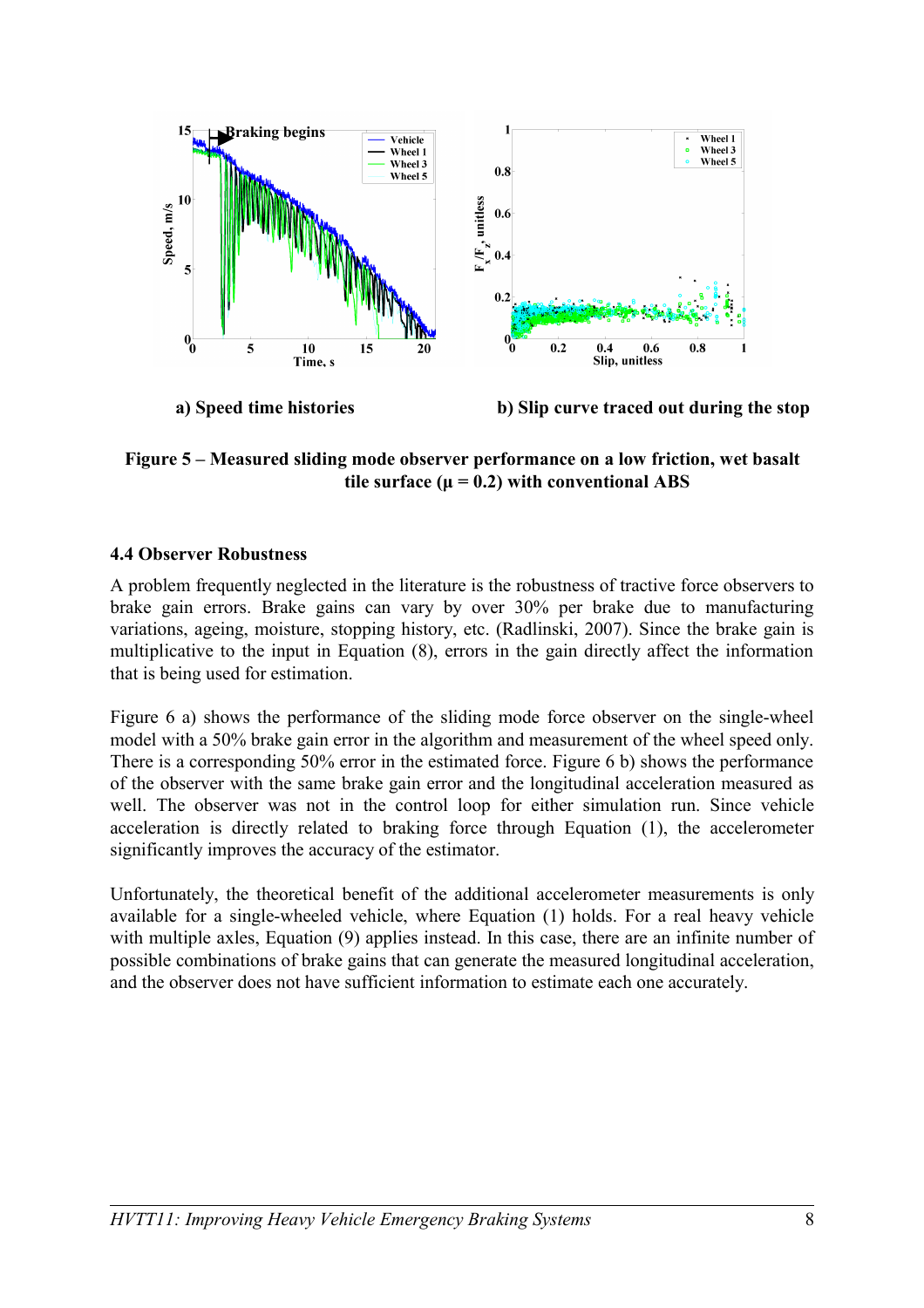

**Figure 5 – Measured sliding mode observer performance on a low friction, wet basalt tile surface (** $\mu = 0.2$ **) with conventional ABS** 

## **4.4 Observer Robustness**

A problem frequently neglected in the literature is the robustness of tractive force observers to brake gain errors. Brake gains can vary by over 30% per brake due to manufacturing variations, ageing, moisture, stopping history, etc. (Radlinski, 2007). Since the brake gain is multiplicative to the input in Equation (8), errors in the gain directly affect the information that is being used for estimation.

Figure 6 a) shows the performance of the sliding mode force observer on the single-wheel model with a 50% brake gain error in the algorithm and measurement of the wheel speed only. There is a corresponding 50% error in the estimated force. Figure 6 b) shows the performance of the observer with the same brake gain error and the longitudinal acceleration measured as well. The observer was not in the control loop for either simulation run. Since vehicle acceleration is directly related to braking force through Equation (1), the accelerometer significantly improves the accuracy of the estimator.

Unfortunately, the theoretical benefit of the additional accelerometer measurements is only available for a single-wheeled vehicle, where Equation (1) holds. For a real heavy vehicle with multiple axles, Equation (9) applies instead. In this case, there are an infinite number of possible combinations of brake gains that can generate the measured longitudinal acceleration, and the observer does not have sufficient information to estimate each one accurately.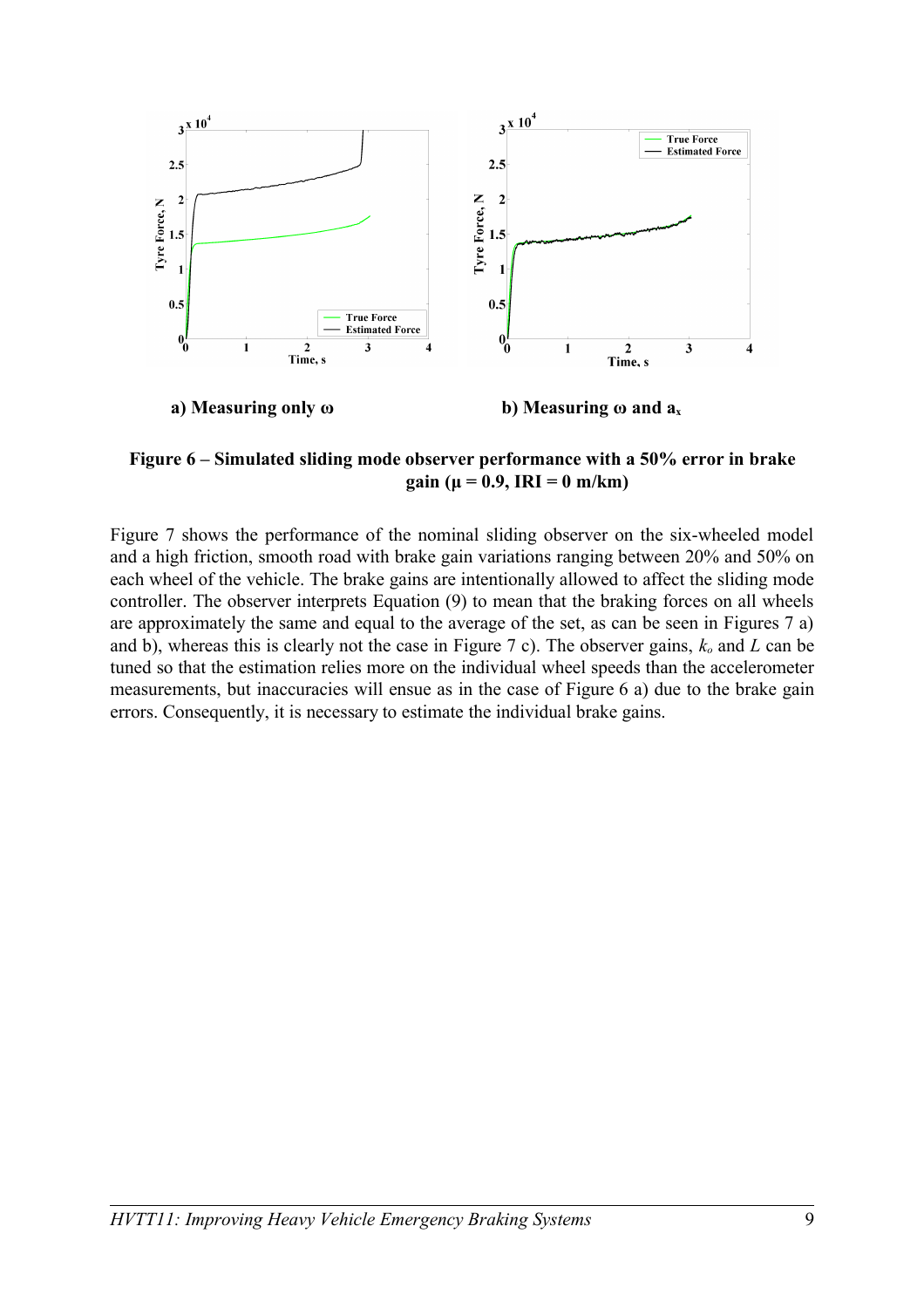

**Figure 6 – Simulated sliding mode observer performance with a 50% error in brake gain (μ = 0.9, IRI = 0 m/km)**

Figure 7 shows the performance of the nominal sliding observer on the six-wheeled model and a high friction, smooth road with brake gain variations ranging between 20% and 50% on each wheel of the vehicle. The brake gains are intentionally allowed to affect the sliding mode controller. The observer interprets Equation (9) to mean that the braking forces on all wheels are approximately the same and equal to the average of the set, as can be seen in Figures 7 a) and b), whereas this is clearly not the case in Figure 7 c). The observer gains, *ko* and *L* can be tuned so that the estimation relies more on the individual wheel speeds than the accelerometer measurements, but inaccuracies will ensue as in the case of Figure 6 a) due to the brake gain errors. Consequently, it is necessary to estimate the individual brake gains.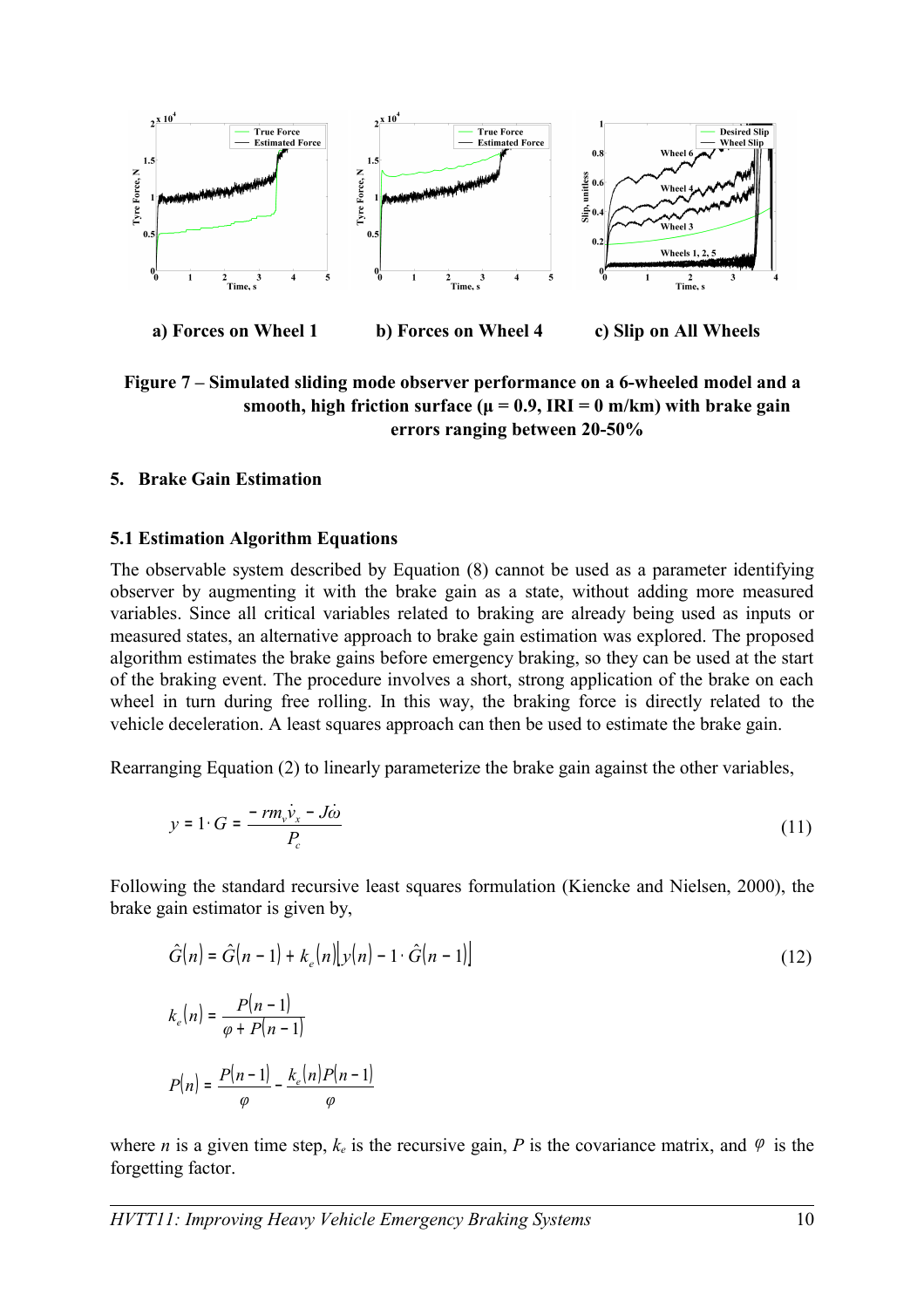

**Figure 7 – Simulated sliding mode observer performance on a 6-wheeled model and a** smooth, high friction surface ( $\mu = 0.9$ , IRI = 0 m/km) with brake gain **errors ranging between 20-50%**

### **5. Brake Gain Estimation**

#### **5.1 Estimation Algorithm Equations**

The observable system described by Equation (8) cannot be used as a parameter identifying observer by augmenting it with the brake gain as a state, without adding more measured variables. Since all critical variables related to braking are already being used as inputs or measured states, an alternative approach to brake gain estimation was explored. The proposed algorithm estimates the brake gains before emergency braking, so they can be used at the start of the braking event. The procedure involves a short, strong application of the brake on each wheel in turn during free rolling. In this way, the braking force is directly related to the vehicle deceleration. A least squares approach can then be used to estimate the brake gain.

Rearranging Equation (2) to linearly parameterize the brake gain against the other variables,

$$
y = 1 \cdot G = \frac{-rm_v \dot{v}_x - J\dot{\omega}}{P_c} \tag{11}
$$

Following the standard recursive least squares formulation (Kiencke and Nielsen, 2000), the brake gain estimator is given by,

$$
\hat{G}(n) = \hat{G}(n-1) + k_e(n)[y(n) - 1 \cdot \hat{G}(n-1)]
$$
\n
$$
k_e(n) = \frac{P(n-1)}{\varphi + P(n-1)}
$$
\n
$$
P(n) = \frac{P(n-1)}{\varphi} - \frac{k_e(n)P(n-1)}{\varphi}
$$
\n(12)

where *n* is a given time step,  $k_e$  is the recursive gain, *P* is the covariance matrix, and  $\varphi$  is the forgetting factor.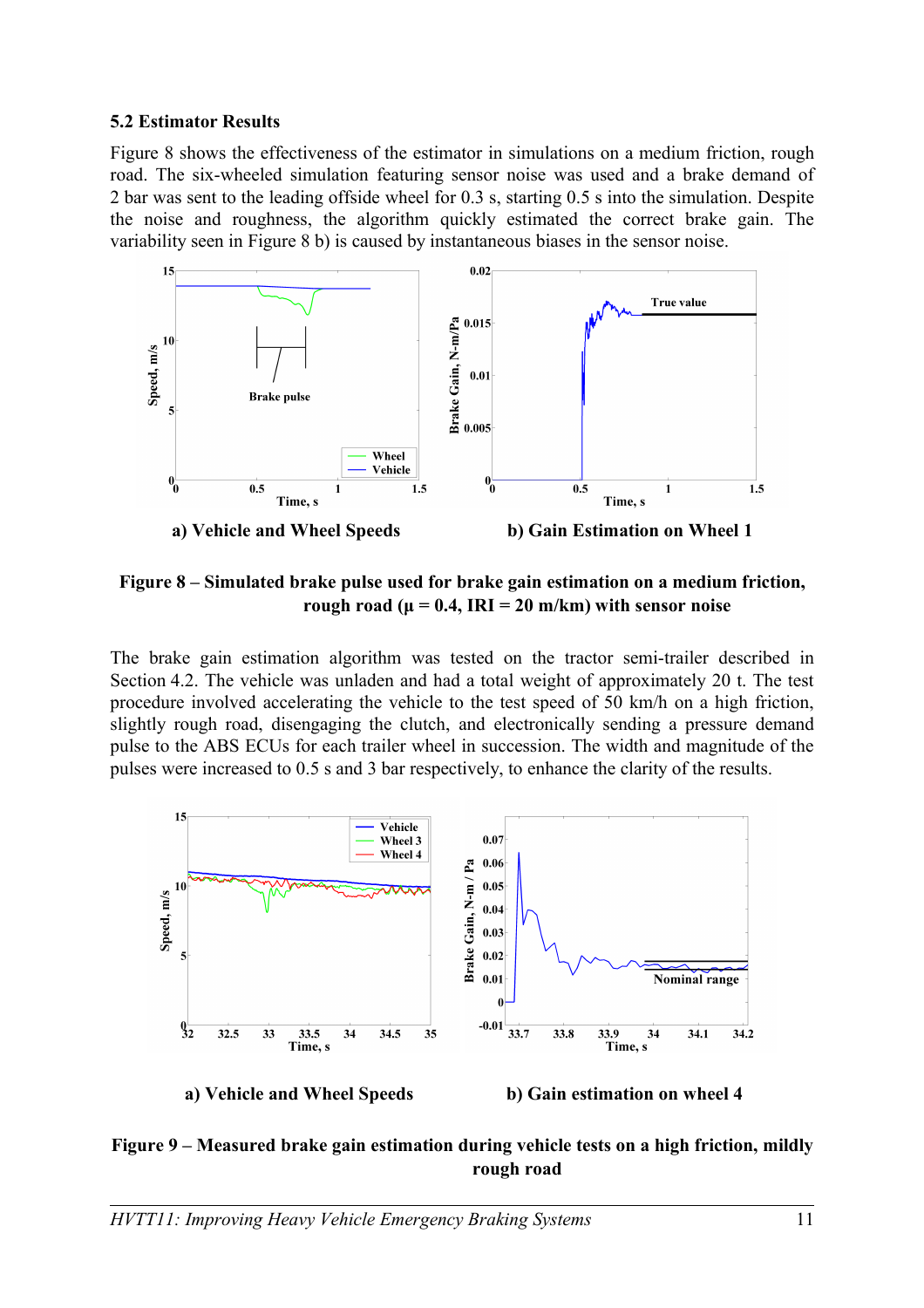### **5.2 Estimator Results**

Figure 8 shows the effectiveness of the estimator in simulations on a medium friction, rough road. The six-wheeled simulation featuring sensor noise was used and a brake demand of 2 bar was sent to the leading offside wheel for 0.3 s, starting 0.5 s into the simulation. Despite the noise and roughness, the algorithm quickly estimated the correct brake gain. The variability seen in Figure 8 b) is caused by instantaneous biases in the sensor noise.



**a) Vehicle and Wheel Speeds b) Gain Estimation on Wheel 1**

**Figure 8 – Simulated brake pulse used for brake gain estimation on a medium friction, rough road (** $\mu = 0.4$ **, IRI** = 20 m/km) with sensor noise

The brake gain estimation algorithm was tested on the tractor semi-trailer described in Section 4.2. The vehicle was unladen and had a total weight of approximately 20 t. The test procedure involved accelerating the vehicle to the test speed of 50 km/h on a high friction, slightly rough road, disengaging the clutch, and electronically sending a pressure demand pulse to the ABS ECUs for each trailer wheel in succession. The width and magnitude of the pulses were increased to 0.5 s and 3 bar respectively, to enhance the clarity of the results.



**Figure 9 – Measured brake gain estimation during vehicle tests on a high friction, mildly rough road**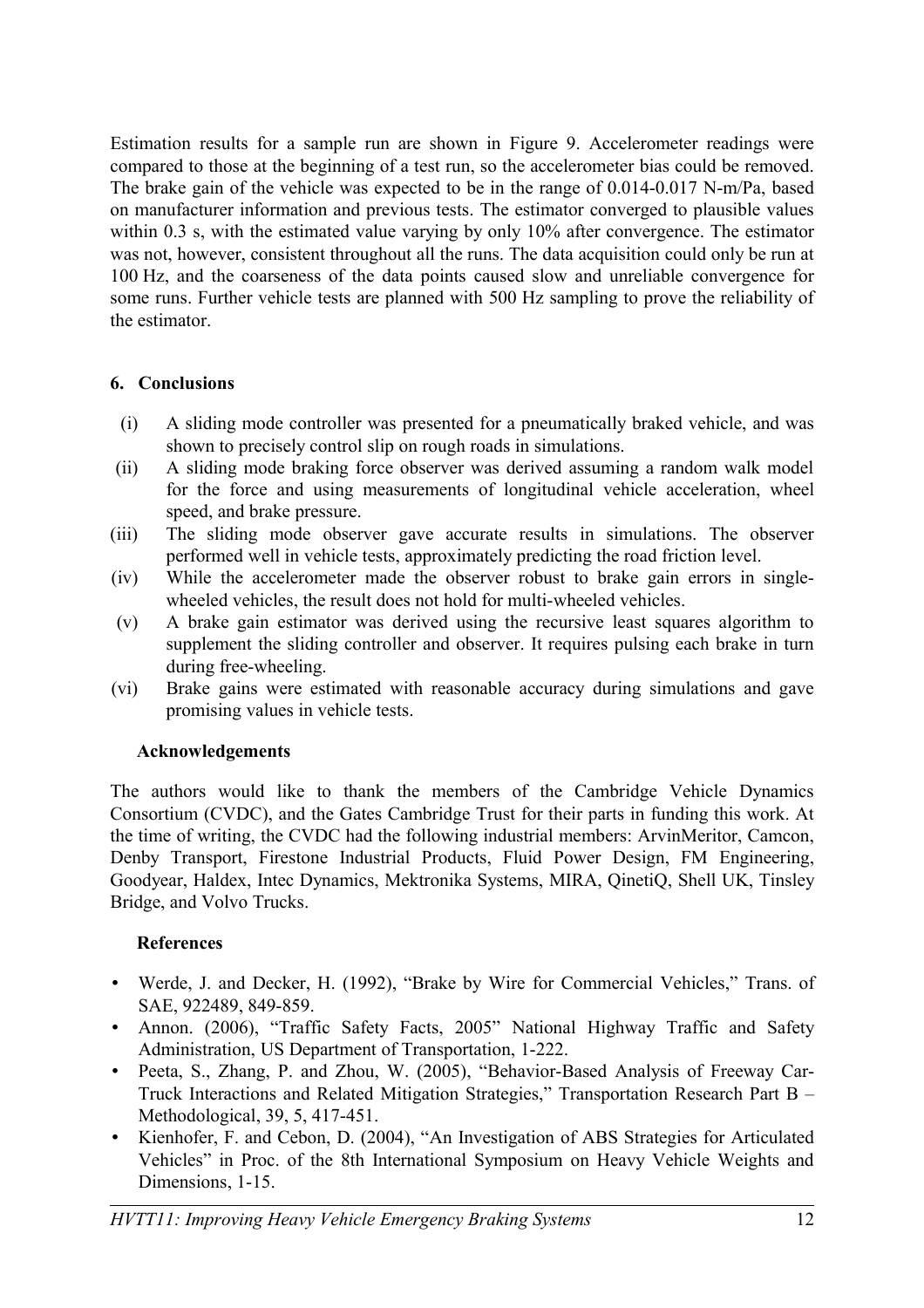Estimation results for a sample run are shown in Figure 9. Accelerometer readings were compared to those at the beginning of a test run, so the accelerometer bias could be removed. The brake gain of the vehicle was expected to be in the range of 0.014-0.017 N-m/Pa, based on manufacturer information and previous tests. The estimator converged to plausible values within 0.3 s, with the estimated value varying by only 10% after convergence. The estimator was not, however, consistent throughout all the runs. The data acquisition could only be run at 100 Hz, and the coarseness of the data points caused slow and unreliable convergence for some runs. Further vehicle tests are planned with 500 Hz sampling to prove the reliability of the estimator.

# **6. Conclusions**

- (i) A sliding mode controller was presented for a pneumatically braked vehicle, and was shown to precisely control slip on rough roads in simulations.
- (ii) A sliding mode braking force observer was derived assuming a random walk model for the force and using measurements of longitudinal vehicle acceleration, wheel speed, and brake pressure.
- (iii) The sliding mode observer gave accurate results in simulations. The observer performed well in vehicle tests, approximately predicting the road friction level.
- (iv) While the accelerometer made the observer robust to brake gain errors in singlewheeled vehicles, the result does not hold for multi-wheeled vehicles.
- (v) A brake gain estimator was derived using the recursive least squares algorithm to supplement the sliding controller and observer. It requires pulsing each brake in turn during free-wheeling.
- (vi) Brake gains were estimated with reasonable accuracy during simulations and gave promising values in vehicle tests.

# **Acknowledgements**

The authors would like to thank the members of the Cambridge Vehicle Dynamics Consortium (CVDC), and the Gates Cambridge Trust for their parts in funding this work. At the time of writing, the CVDC had the following industrial members: ArvinMeritor, Camcon, Denby Transport, Firestone Industrial Products, Fluid Power Design, FM Engineering, Goodyear, Haldex, Intec Dynamics, Mektronika Systems, MIRA, QinetiQ, Shell UK, Tinsley Bridge, and Volvo Trucks.

# **References**

- Werde, J. and Decker, H. (1992), "Brake by Wire for Commercial Vehicles," Trans. of SAE, 922489, 849-859.
- Annon. (2006), "Traffic Safety Facts, 2005" National Highway Traffic and Safety Administration, US Department of Transportation, 1-222.
- Peeta, S., Zhang, P. and Zhou, W. (2005), "Behavior-Based Analysis of Freeway Car-Truck Interactions and Related Mitigation Strategies," Transportation Research Part B – Methodological, 39, 5, 417-451.
- Kienhofer, F. and Cebon, D. (2004), "An Investigation of ABS Strategies for Articulated Vehicles" in Proc. of the 8th International Symposium on Heavy Vehicle Weights and Dimensions, 1-15.